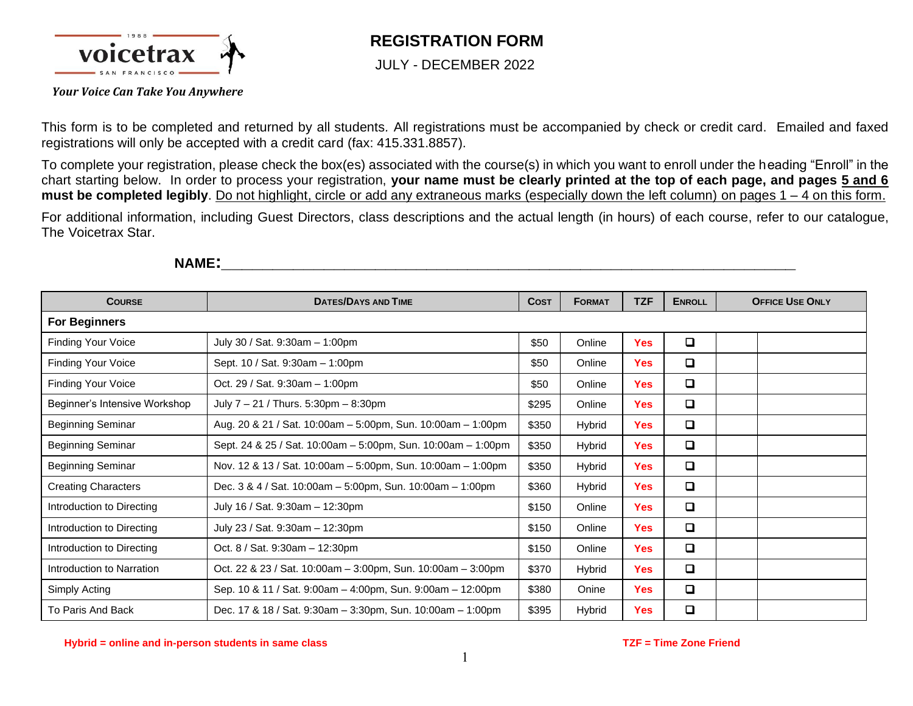

## **REGISTRATION FORM**

JULY - DECEMBER 2022

*Your Voice Can Take You Anywhere*

This form is to be completed and returned by all students*.* All registrations must be accompanied by check or credit card. Emailed and faxed registrations will only be accepted with a credit card (fax: 415.331.8857).

To complete your registration, please check the box(es) associated with the course(s) in which you want to enroll under the heading "Enroll" in the chart starting below. In order to process your registration, **your name must be clearly printed at the top of each page, and pages 5 and 6 must be completed legibly**. Do not highlight, circle or add any extraneous marks (especially down the left column) on pages 1 – 4 on this form.

For additional information, including Guest Directors, class descriptions and the actual length (in hours) of each course, refer to our catalogue, The Voicetrax Star.

| <b>COURSE</b>                 | <b>DATES/DAYS AND TIME</b>                                   | <b>COST</b> | <b>FORMAT</b> | <b>TZF</b> | <b>ENROLL</b> | <b>OFFICE USE ONLY</b> |
|-------------------------------|--------------------------------------------------------------|-------------|---------------|------------|---------------|------------------------|
| <b>For Beginners</b>          |                                                              |             |               |            |               |                        |
| <b>Finding Your Voice</b>     | July 30 / Sat. 9:30am - 1:00pm                               | \$50        | Online        | <b>Yes</b> | $\Box$        |                        |
| <b>Finding Your Voice</b>     | Sept. 10 / Sat. 9:30am - 1:00pm                              | \$50        | Online        | <b>Yes</b> | $\Box$        |                        |
| <b>Finding Your Voice</b>     | Oct. 29 / Sat. 9:30am - 1:00pm                               | \$50        | Online        | <b>Yes</b> | $\Box$        |                        |
| Beginner's Intensive Workshop | July $7 - 21$ / Thurs. 5:30pm $- 8:30$ pm                    | \$295       | Online        | <b>Yes</b> | $\Box$        |                        |
| <b>Beginning Seminar</b>      | Aug. 20 & 21 / Sat. 10:00am - 5:00pm, Sun. 10:00am - 1:00pm  | \$350       | Hybrid        | <b>Yes</b> | $\Box$        |                        |
| <b>Beginning Seminar</b>      | Sept. 24 & 25 / Sat. 10:00am - 5:00pm, Sun. 10:00am - 1:00pm | \$350       | Hybrid        | <b>Yes</b> | $\Box$        |                        |
| <b>Beginning Seminar</b>      | Nov. 12 & 13 / Sat. 10:00am - 5:00pm, Sun. 10:00am - 1:00pm  | \$350       | Hybrid        | <b>Yes</b> | o             |                        |
| <b>Creating Characters</b>    | Dec. 3 & 4 / Sat. 10:00am - 5:00pm, Sun. 10:00am - 1:00pm    | \$360       | Hybrid        | <b>Yes</b> | $\Box$        |                        |
| Introduction to Directing     | July 16 / Sat. 9:30am - 12:30pm                              | \$150       | Online        | <b>Yes</b> | $\Box$        |                        |
| Introduction to Directing     | July 23 / Sat. 9:30am - 12:30pm                              | \$150       | Online        | <b>Yes</b> | $\Box$        |                        |
| Introduction to Directing     | Oct. 8 / Sat. 9:30am - 12:30pm                               | \$150       | Online        | <b>Yes</b> | $\Box$        |                        |
| Introduction to Narration     | Oct. 22 & 23 / Sat. 10:00am - 3:00pm, Sun. 10:00am - 3:00pm  | \$370       | Hybrid        | <b>Yes</b> | $\Box$        |                        |
| Simply Acting                 | Sep. 10 & 11 / Sat. 9:00am - 4:00pm, Sun. 9:00am - 12:00pm   | \$380       | Onine         | <b>Yes</b> | $\Box$        |                        |
| To Paris And Back             | Dec. 17 & 18 / Sat. 9:30am - 3:30pm, Sun. 10:00am - 1:00pm   | \$395       | Hybrid        | Yes        | $\Box$        |                        |

**NAME:\_\_\_\_\_\_\_\_\_\_\_\_\_\_\_\_\_\_\_\_\_\_\_\_\_\_\_\_\_\_\_\_\_\_\_\_\_\_\_\_\_\_\_\_\_\_\_\_\_\_\_\_\_\_\_\_**

 **<b>Hybrid** = online and in-person students in same class **TZF** = Time Zone Friend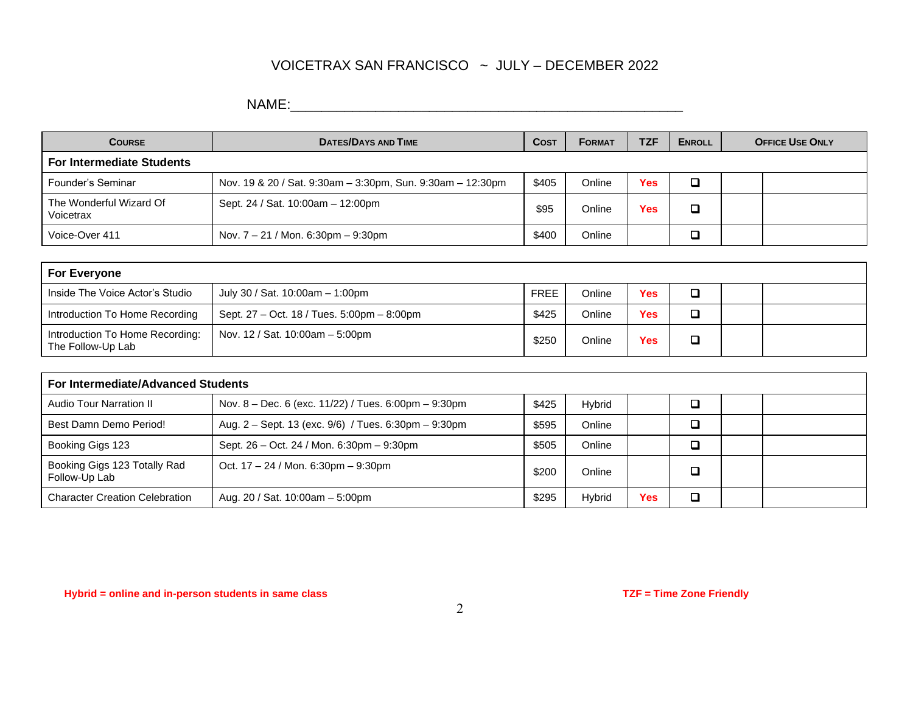## VOICETRAX SAN FRANCISCO ~ JULY – DECEMBER 2022

NAME:\_\_\_\_\_\_\_\_\_\_\_\_\_\_\_\_\_\_\_\_\_\_\_\_\_\_\_\_\_\_\_\_\_\_\_\_\_\_\_\_\_\_\_\_\_\_\_\_\_\_\_

| <b>COURSE</b>                        | <b>DATES/DAYS AND TIME</b>                                 | <b>COST</b> | <b>FORMAT</b> | <b>TZF</b> | <b>ENROLL</b> | <b>OFFICE USE ONLY</b> |
|--------------------------------------|------------------------------------------------------------|-------------|---------------|------------|---------------|------------------------|
| <b>For Intermediate Students</b>     |                                                            |             |               |            |               |                        |
| Founder's Seminar                    | Nov. 19 & 20 / Sat. 9:30am - 3:30pm, Sun. 9:30am - 12:30pm | \$405       | Online        | Yes        |               |                        |
| The Wonderful Wizard Of<br>Voicetrax | Sept. 24 / Sat. 10:00am - 12:00pm                          | \$95        | Online        | Yes        |               |                        |
| Voice-Over 411                       | Nov. $7 - 21$ / Mon. 6:30pm $-9:30$ pm                     | \$400       | Online        |            |               |                        |

| <b>For Everyone</b>                                  |                                            |             |        |     |  |  |  |
|------------------------------------------------------|--------------------------------------------|-------------|--------|-----|--|--|--|
| Inside The Voice Actor's Studio                      | July 30 / Sat. 10:00am - 1:00pm            | <b>FREE</b> | Online | Yes |  |  |  |
| Introduction To Home Recording                       | Sept. 27 - Oct. 18 / Tues. 5:00pm - 8:00pm | \$425       | Online | Yes |  |  |  |
| Introduction To Home Recording:<br>The Follow-Up Lab | Nov. 12 / Sat. 10:00am - 5:00pm            | \$250       | Online | Yes |  |  |  |

| For Intermediate/Advanced Students            |                                                          |       |        |            |  |  |  |
|-----------------------------------------------|----------------------------------------------------------|-------|--------|------------|--|--|--|
| <b>Audio Tour Narration II</b>                | Nov. $8 - Dec. 6$ (exc. 11/22) / Tues. 6:00pm $-9:30$ pm | \$425 | Hybrid |            |  |  |  |
| Best Damn Demo Period!                        | Aug. 2 – Sept. 13 (exc. 9/6) / Tues. 6:30pm – 9:30pm     | \$595 | Online |            |  |  |  |
| Booking Gigs 123                              | Sept. 26 – Oct. 24 / Mon. 6:30pm – 9:30pm                | \$505 | Online |            |  |  |  |
| Booking Gigs 123 Totally Rad<br>Follow-Up Lab | Oct. $17 - 24$ / Mon. 6:30pm $-$ 9:30pm                  | \$200 | Online |            |  |  |  |
| <b>Character Creation Celebration</b>         | Aug. 20 / Sat. 10:00am - 5:00pm                          | \$295 | Hybrid | <b>Yes</b> |  |  |  |

**Hybrid = online and in-person students in same class TZF = Time Zone Friendly**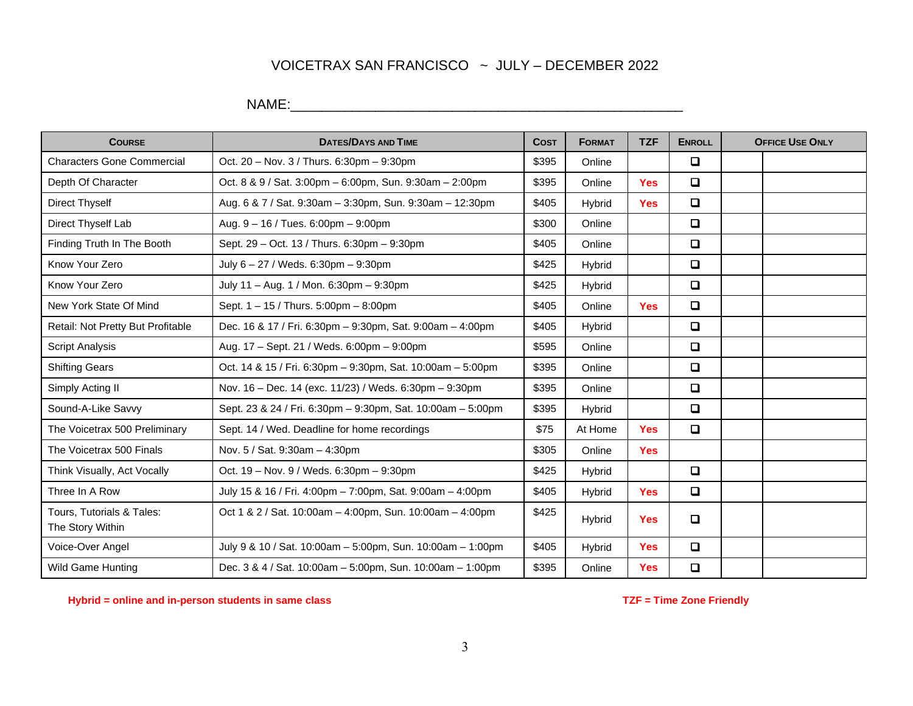## VOICETRAX SAN FRANCISCO ~ JULY – DECEMBER 2022

NAME:\_\_\_\_\_\_\_\_\_\_\_\_\_\_\_\_\_\_\_\_\_\_\_\_\_\_\_\_\_\_\_\_\_\_\_\_\_\_\_\_\_\_\_\_\_\_\_\_\_\_\_

| <b>COURSE</b>                                 | <b>DATES/DAYS AND TIME</b>                                  | <b>COST</b> | <b>FORMAT</b> | <b>TZF</b> | <b>ENROLL</b> | <b>OFFICE USE ONLY</b> |
|-----------------------------------------------|-------------------------------------------------------------|-------------|---------------|------------|---------------|------------------------|
| <b>Characters Gone Commercial</b>             | Oct. 20 - Nov. 3 / Thurs. 6:30pm - 9:30pm                   | \$395       | Online        |            | $\Box$        |                        |
| Depth Of Character                            | Oct. 8 & 9 / Sat. 3:00pm - 6:00pm, Sun. 9:30am - 2:00pm     | \$395       | Online        | <b>Yes</b> | $\Box$        |                        |
| <b>Direct Thyself</b>                         | Aug. 6 & 7 / Sat. 9:30am - 3:30pm, Sun. 9:30am - 12:30pm    | \$405       | Hybrid        | <b>Yes</b> | О             |                        |
| Direct Thyself Lab                            | Aug. 9 - 16 / Tues. 6:00pm - 9:00pm                         | \$300       | Online        |            | $\Box$        |                        |
| Finding Truth In The Booth                    | Sept. 29 - Oct. 13 / Thurs. 6:30pm - 9:30pm                 | \$405       | Online        |            | O             |                        |
| Know Your Zero                                | July 6 - 27 / Weds. 6:30pm - 9:30pm                         | \$425       | Hybrid        |            | $\Box$        |                        |
| Know Your Zero                                | July 11 - Aug. 1 / Mon. 6:30pm - 9:30pm                     | \$425       | Hybrid        |            | $\Box$        |                        |
| New York State Of Mind                        | Sept. 1 - 15 / Thurs. 5:00pm - 8:00pm                       | \$405       | Online        | <b>Yes</b> | o             |                        |
| Retail: Not Pretty But Profitable             | Dec. 16 & 17 / Fri. 6:30pm - 9:30pm, Sat. 9:00am - 4:00pm   | \$405       | <b>Hybrid</b> |            | $\Box$        |                        |
| <b>Script Analysis</b>                        | Aug. 17 - Sept. 21 / Weds. 6:00pm - 9:00pm                  | \$595       | Online        |            | $\Box$        |                        |
| <b>Shifting Gears</b>                         | Oct. 14 & 15 / Fri. 6:30pm - 9:30pm, Sat. 10:00am - 5:00pm  | \$395       | Online        |            | $\Box$        |                        |
| Simply Acting II                              | Nov. 16 - Dec. 14 (exc. 11/23) / Weds. 6:30pm - 9:30pm      | \$395       | Online        |            | О             |                        |
| Sound-A-Like Savvy                            | Sept. 23 & 24 / Fri. 6:30pm - 9:30pm, Sat. 10:00am - 5:00pm | \$395       | Hybrid        |            | $\Box$        |                        |
| The Voicetrax 500 Preliminary                 | Sept. 14 / Wed. Deadline for home recordings                | \$75        | At Home       | <b>Yes</b> | $\Box$        |                        |
| The Voicetrax 500 Finals                      | Nov. 5 / Sat. 9:30am - 4:30pm                               | \$305       | Online        | <b>Yes</b> |               |                        |
| Think Visually, Act Vocally                   | Oct. 19 - Nov. 9 / Weds. 6:30pm - 9:30pm                    | \$425       | Hybrid        |            | $\Box$        |                        |
| Three In A Row                                | July 15 & 16 / Fri. 4:00pm - 7:00pm, Sat. 9:00am - 4:00pm   | \$405       | Hybrid        | <b>Yes</b> | $\Box$        |                        |
| Tours, Tutorials & Tales:<br>The Story Within | Oct 1 & 2 / Sat. 10:00am - 4:00pm, Sun. 10:00am - 4:00pm    | \$425       | Hybrid        | <b>Yes</b> | Q             |                        |
| Voice-Over Angel                              | July 9 & 10 / Sat. 10:00am - 5:00pm, Sun. 10:00am - 1:00pm  | \$405       | Hybrid        | <b>Yes</b> | $\Box$        |                        |
| <b>Wild Game Hunting</b>                      | Dec. 3 & 4 / Sat. 10:00am - 5:00pm, Sun. 10:00am - 1:00pm   | \$395       | Online        | <b>Yes</b> | Q             |                        |

**Hybrid = online and in-person students in same class TZF = Time Zone Friendly**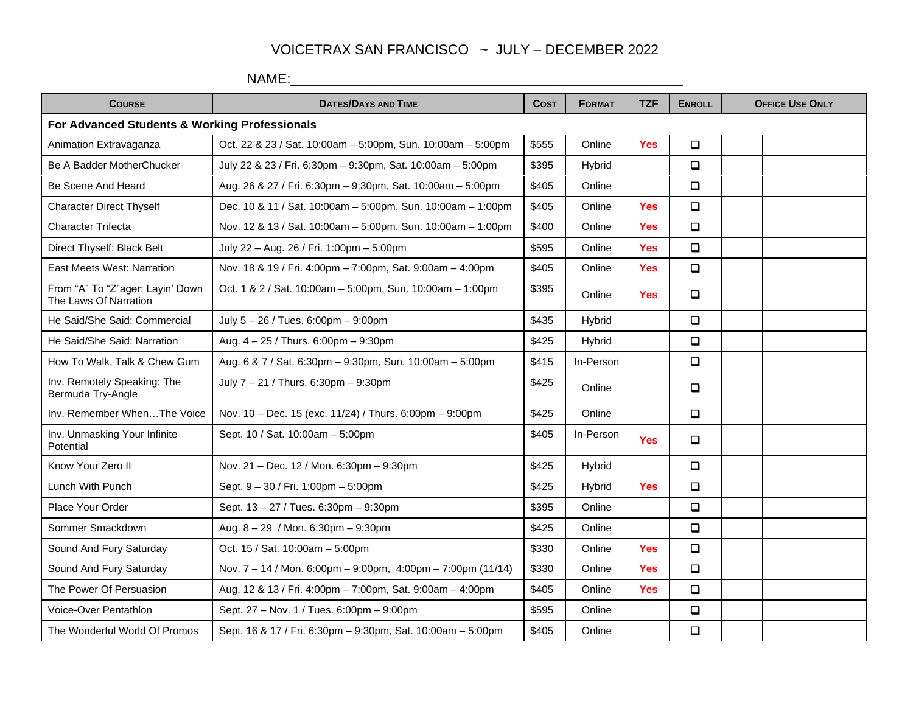## VOICETRAX SAN FRANCISCO ~ JULY – DECEMBER 2022

|                                                           | NAME:                                                       |             |               |            |               |                        |
|-----------------------------------------------------------|-------------------------------------------------------------|-------------|---------------|------------|---------------|------------------------|
| <b>COURSE</b>                                             | <b>DATES/DAYS AND TIME</b>                                  | <b>COST</b> | <b>FORMAT</b> | <b>TZF</b> | <b>ENROLL</b> | <b>OFFICE USE ONLY</b> |
| For Advanced Students & Working Professionals             |                                                             |             |               |            |               |                        |
| Animation Extravaganza                                    | Oct. 22 & 23 / Sat. 10:00am - 5:00pm, Sun. 10:00am - 5:00pm | \$555       | Online        | <b>Yes</b> | $\Box$        |                        |
| Be A Badder MotherChucker                                 | July 22 & 23 / Fri. 6:30pm - 9:30pm, Sat. 10:00am - 5:00pm  | \$395       | <b>Hybrid</b> |            | $\Box$        |                        |
| Be Scene And Heard                                        | Aug. 26 & 27 / Fri. 6:30pm - 9:30pm, Sat. 10:00am - 5:00pm  | \$405       | Online        |            | $\Box$        |                        |
| <b>Character Direct Thyself</b>                           | Dec. 10 & 11 / Sat. 10:00am - 5:00pm, Sun. 10:00am - 1:00pm | \$405       | Online        | <b>Yes</b> | $\Box$        |                        |
| <b>Character Trifecta</b>                                 | Nov. 12 & 13 / Sat. 10:00am - 5:00pm, Sun. 10:00am - 1:00pm | \$400       | Online        | <b>Yes</b> | $\Box$        |                        |
| Direct Thyself: Black Belt                                | July 22 - Aug. 26 / Fri. 1:00pm - 5:00pm                    | \$595       | Online        | <b>Yes</b> | $\Box$        |                        |
| <b>East Meets West: Narration</b>                         | Nov. 18 & 19 / Fri. 4:00pm - 7:00pm, Sat. 9:00am - 4:00pm   | \$405       | Online        | Yes        | $\Box$        |                        |
| From "A" To "Z"ager: Layin' Down<br>The Laws Of Narration | Oct. 1 & 2 / Sat. 10:00am - 5:00pm, Sun. 10:00am - 1:00pm   | \$395       | Online        | <b>Yes</b> | $\Box$        |                        |
| He Said/She Said: Commercial                              | July 5 - 26 / Tues. 6:00pm - 9:00pm                         | \$435       | Hybrid        |            | $\Box$        |                        |
| He Said/She Said: Narration                               | Aug. 4 - 25 / Thurs. 6:00pm - 9:30pm                        | \$425       | <b>Hybrid</b> |            | $\Box$        |                        |
| How To Walk, Talk & Chew Gum                              | Aug. 6 & 7 / Sat. 6:30pm - 9:30pm, Sun. 10:00am - 5:00pm    | \$415       | In-Person     |            | $\Box$        |                        |
| Inv. Remotely Speaking: The<br>Bermuda Try-Angle          | July 7 - 21 / Thurs. 6:30pm - 9:30pm                        | \$425       | Online        |            | $\Box$        |                        |
| Inv. Remember WhenThe Voice                               | Nov. 10 - Dec. 15 (exc. 11/24) / Thurs. 6:00pm - 9:00pm     | \$425       | Online        |            | $\Box$        |                        |
| Inv. Unmasking Your Infinite<br>Potential                 | Sept. 10 / Sat. 10:00am - 5:00pm                            | \$405       | In-Person     | <b>Yes</b> | $\Box$        |                        |
| Know Your Zero II                                         | Nov. 21 - Dec. 12 / Mon. 6:30pm - 9:30pm                    | \$425       | Hybrid        |            | $\Box$        |                        |
| Lunch With Punch                                          | Sept. 9 - 30 / Fri. 1:00pm - 5:00pm                         | \$425       | Hybrid        | <b>Yes</b> | $\Box$        |                        |
| Place Your Order                                          | Sept. 13 - 27 / Tues. 6:30pm - 9:30pm                       | \$395       | Online        |            | $\Box$        |                        |
| Sommer Smackdown                                          | Aug. $8 - 29$ / Mon. 6:30pm $-9:30$ pm                      | \$425       | Online        |            | $\Box$        |                        |
| Sound And Fury Saturday                                   | Oct. 15 / Sat. 10:00am - 5:00pm                             | \$330       | Online        | <b>Yes</b> | $\Box$        |                        |
| Sound And Fury Saturday                                   | Nov. 7 - 14 / Mon. 6:00pm - 9:00pm, 4:00pm - 7:00pm (11/14) | \$330       | Online        | <b>Yes</b> | $\Box$        |                        |
| The Power Of Persuasion                                   | Aug. 12 & 13 / Fri. 4:00pm - 7:00pm, Sat. 9:00am - 4:00pm   | \$405       | Online        | <b>Yes</b> | $\Box$        |                        |
| Voice-Over Pentathlon                                     | Sept. 27 - Nov. 1 / Tues. 6:00pm - 9:00pm                   | \$595       | Online        |            | $\Box$        |                        |
| The Wonderful World Of Promos                             | Sept. 16 & 17 / Fri. 6:30pm - 9:30pm, Sat. 10:00am - 5:00pm | \$405       | Online        |            | $\Box$        |                        |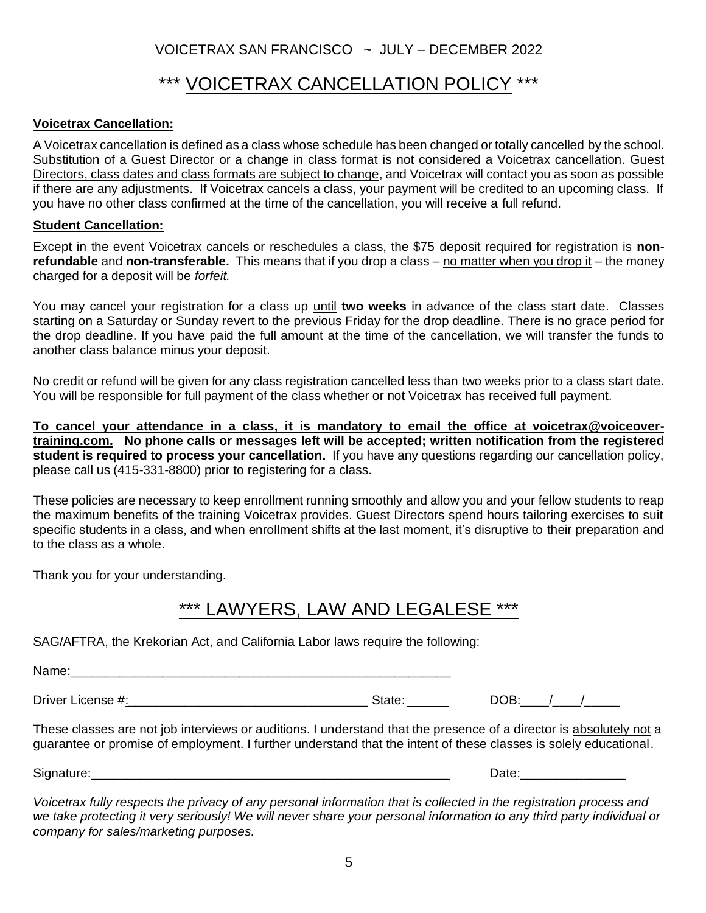# \*\*\* VOICETRAX CANCELLATION POLICY \*\*\*

#### **Voicetrax Cancellation:**

A Voicetrax cancellation is defined as a class whose schedule has been changed or totally cancelled by the school. Substitution of a Guest Director or a change in class format is not considered a Voicetrax cancellation. Guest Directors, class dates and class formats are subject to change, and Voicetrax will contact you as soon as possible if there are any adjustments. If Voicetrax cancels a class, your payment will be credited to an upcoming class. If you have no other class confirmed at the time of the cancellation, you will receive a full refund.

#### **Student Cancellation:**

Except in the event Voicetrax cancels or reschedules a class, the \$75 deposit required for registration is **nonrefundable** and **non-transferable.** This means that if you drop a class – no matter when you drop it – the money charged for a deposit will be *forfeit.*

You may cancel your registration for a class up until **two weeks** in advance of the class start date. Classes starting on a Saturday or Sunday revert to the previous Friday for the drop deadline. There is no grace period for the drop deadline. If you have paid the full amount at the time of the cancellation, we will transfer the funds to another class balance minus your deposit.

No credit or refund will be given for any class registration cancelled less than two weeks prior to a class start date. You will be responsible for full payment of the class whether or not Voicetrax has received full payment.

**To cancel your attendance in a class, it is mandatory to email the office at voicetrax@voiceovertraining.com. No phone calls or messages left will be accepted; written notification from the registered student is required to process your cancellation.** If you have any questions regarding our cancellation policy, please call us (415-331-8800) prior to registering for a class.

These policies are necessary to keep enrollment running smoothly and allow you and your fellow students to reap the maximum benefits of the training Voicetrax provides. Guest Directors spend hours tailoring exercises to suit specific students in a class, and when enrollment shifts at the last moment, it's disruptive to their preparation and to the class as a whole.

Thank you for your understanding.

## \*\*\* LAWYERS, LAW AND LEGALESE \*\*\*

SAG/AFTRA, the Krekorian Act, and California Labor laws require the following:

Name:

Driver License #:  $\qquad \qquad$  State:  $\qquad \qquad$  DOB:  $\qquad /$ 

These classes are not job interviews or auditions. I understand that the presence of a director is absolutely not a guarantee or promise of employment. I further understand that the intent of these classes is solely educational.

Signature:\_\_\_\_\_\_\_\_\_\_\_\_\_\_\_\_\_\_\_\_\_\_\_\_\_\_\_\_\_\_\_\_\_\_\_\_\_\_\_\_\_\_\_\_\_\_\_\_\_\_\_ Date:\_\_\_\_\_\_\_\_\_\_\_\_\_\_\_

*Voicetrax fully respects the privacy of any personal information that is collected in the registration process and we take protecting it very seriously! We will never share your personal information to any third party individual or company for sales/marketing purposes.*